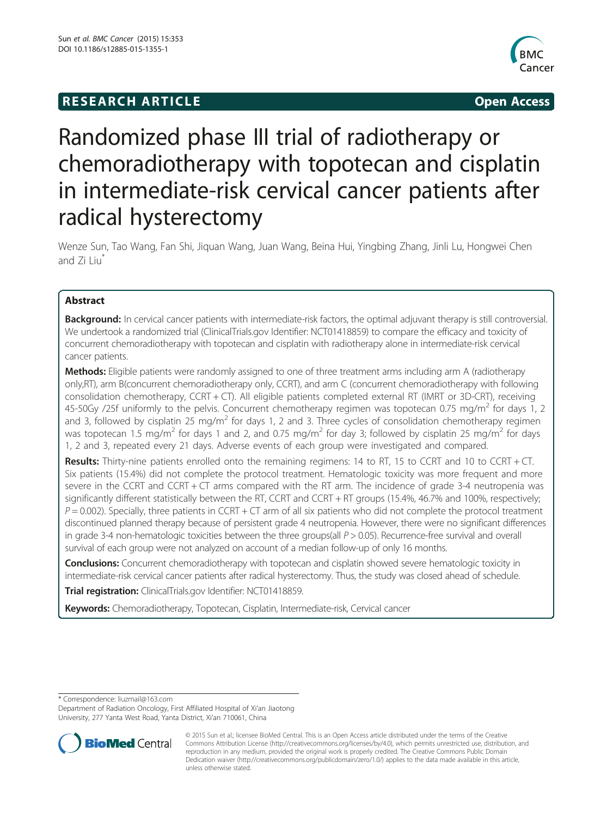## **RESEARCH ARTICLE Example 2014 12:30 The SEAR CHA RTICLE**



# Randomized phase III trial of radiotherapy or chemoradiotherapy with topotecan and cisplatin in intermediate-risk cervical cancer patients after radical hysterectomy

Wenze Sun, Tao Wang, Fan Shi, Jiquan Wang, Juan Wang, Beina Hui, Yingbing Zhang, Jinli Lu, Hongwei Chen and Zi Liu

## Abstract

Background: In cervical cancer patients with intermediate-risk factors, the optimal adjuvant therapy is still controversial. We undertook a randomized trial (ClinicalTrials.gov Identifier: NCT01418859) to compare the efficacy and toxicity of concurrent chemoradiotherapy with topotecan and cisplatin with radiotherapy alone in intermediate-risk cervical cancer patients.

Methods: Eligible patients were randomly assigned to one of three treatment arms including arm A (radiotherapy only,RT), arm B(concurrent chemoradiotherapy only, CCRT), and arm C (concurrent chemoradiotherapy with following consolidation chemotherapy, CCRT + CT). All eligible patients completed external RT (IMRT or 3D-CRT), receiving 45-50Gy /25f uniformly to the pelvis. Concurrent chemotherapy regimen was topotecan 0.75 mg/m<sup>2</sup> for days 1, 2 and 3, followed by cisplatin 25 mg/m<sup>2</sup> for days 1, 2 and 3. Three cycles of consolidation chemotherapy regimen was topotecan 1.5 mg/m<sup>2</sup> for days 1 and 2, and 0.75 mg/m<sup>2</sup> for day 3; followed by cisplatin 25 mg/m<sup>2</sup> for days 1, 2 and 3, repeated every 21 days. Adverse events of each group were investigated and compared.

Results: Thirty-nine patients enrolled onto the remaining regimens: 14 to RT, 15 to CCRT and 10 to CCRT + CT. Six patients (15.4%) did not complete the protocol treatment. Hematologic toxicity was more frequent and more severe in the CCRT and CCRT + CT arms compared with the RT arm. The incidence of grade 3-4 neutropenia was significantly different statistically between the RT, CCRT and CCRT + RT groups (15.4%, 46.7% and 100%, respectively;  $P = 0.002$ ). Specially, three patients in CCRT + CT arm of all six patients who did not complete the protocol treatment discontinued planned therapy because of persistent grade 4 neutropenia. However, there were no significant differences in grade 3-4 non-hematologic toxicities between the three groups(all  $P > 0.05$ ). Recurrence-free survival and overall survival of each group were not analyzed on account of a median follow-up of only 16 months.

**Conclusions:** Concurrent chemoradiotherapy with topotecan and cisplatin showed severe hematologic toxicity in intermediate-risk cervical cancer patients after radical hysterectomy. Thus, the study was closed ahead of schedule. Trial registration: ClinicalTrials.gov Identifier: [NCT01418859](https://www.clinicaltrials.gov/ct2/show/NCT01418859?term=NCT01418859&rank=1).

Keywords: Chemoradiotherapy, Topotecan, Cisplatin, Intermediate-risk, Cervical cancer

\* Correspondence: [liuzmail@163.com](mailto:liuzmail@163.com)

Department of Radiation Oncology, First Affiliated Hospital of Xi'an Jiaotong University, 277 Yanta West Road, Yanta District, Xi'an 710061, China



<sup>© 2015</sup> Sun et al.; licensee BioMed Central. This is an Open Access article distributed under the terms of the Creative Commons Attribution License [\(http://creativecommons.org/licenses/by/4.0\)](http://creativecommons.org/licenses/by/4.0), which permits unrestricted use, distribution, and reproduction in any medium, provided the original work is properly credited. The Creative Commons Public Domain Dedication waiver [\(http://creativecommons.org/publicdomain/zero/1.0/](http://creativecommons.org/publicdomain/zero/1.0/)) applies to the data made available in this article, unless otherwise stated.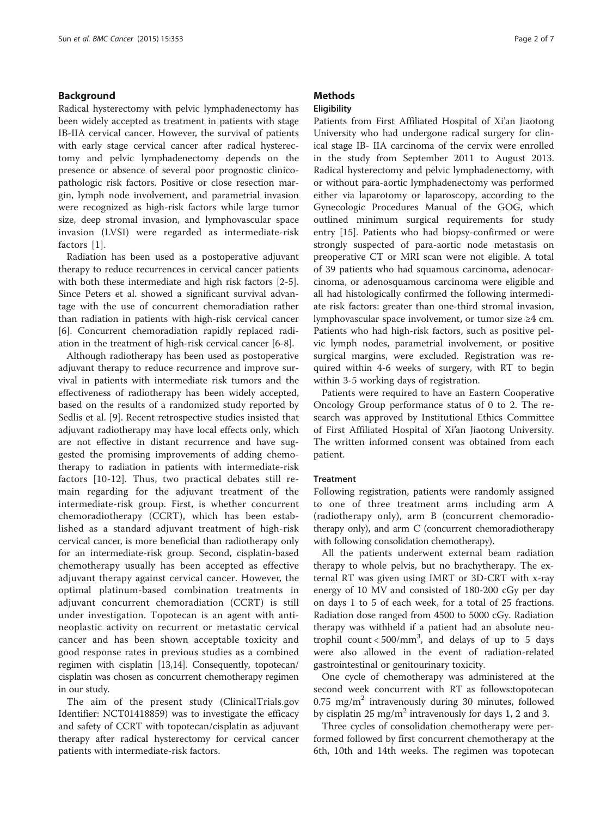## Background

Radical hysterectomy with pelvic lymphadenectomy has been widely accepted as treatment in patients with stage IB-IIA cervical cancer. However, the survival of patients with early stage cervical cancer after radical hysterectomy and pelvic lymphadenectomy depends on the presence or absence of several poor prognostic clinicopathologic risk factors. Positive or close resection margin, lymph node involvement, and parametrial invasion were recognized as high-risk factors while large tumor size, deep stromal invasion, and lymphovascular space invasion (LVSI) were regarded as intermediate-risk factors [\[1](#page-5-0)].

Radiation has been used as a postoperative adjuvant therapy to reduce recurrences in cervical cancer patients with both these intermediate and high risk factors [[2-5](#page-5-0)]. Since Peters et al. showed a significant survival advantage with the use of concurrent chemoradiation rather than radiation in patients with high-risk cervical cancer [[6\]](#page-5-0). Concurrent chemoradiation rapidly replaced radiation in the treatment of high-risk cervical cancer [\[6](#page-5-0)-[8\]](#page-5-0).

Although radiotherapy has been used as postoperative adjuvant therapy to reduce recurrence and improve survival in patients with intermediate risk tumors and the effectiveness of radiotherapy has been widely accepted, based on the results of a randomized study reported by Sedlis et al. [\[9](#page-5-0)]. Recent retrospective studies insisted that adjuvant radiotherapy may have local effects only, which are not effective in distant recurrence and have suggested the promising improvements of adding chemotherapy to radiation in patients with intermediate-risk factors [[10](#page-5-0)-[12\]](#page-5-0). Thus, two practical debates still remain regarding for the adjuvant treatment of the intermediate-risk group. First, is whether concurrent chemoradiotherapy (CCRT), which has been established as a standard adjuvant treatment of high-risk cervical cancer, is more beneficial than radiotherapy only for an intermediate-risk group. Second, cisplatin-based chemotherapy usually has been accepted as effective adjuvant therapy against cervical cancer. However, the optimal platinum-based combination treatments in adjuvant concurrent chemoradiation (CCRT) is still under investigation. Topotecan is an agent with antineoplastic activity on recurrent or metastatic cervical cancer and has been shown acceptable toxicity and good response rates in previous studies as a combined regimen with cisplatin [\[13,14](#page-5-0)]. Consequently, topotecan/ cisplatin was chosen as concurrent chemotherapy regimen in our study.

The aim of the present study (ClinicalTrials.gov Identifier: NCT01418859) was to investigate the efficacy and safety of CCRT with topotecan/cisplatin as adjuvant therapy after radical hysterectomy for cervical cancer patients with intermediate-risk factors.

## **Methods**

## **Eligibility**

Patients from First Affiliated Hospital of Xi'an Jiaotong University who had undergone radical surgery for clinical stage IB- IIA carcinoma of the cervix were enrolled in the study from September 2011 to August 2013. Radical hysterectomy and pelvic lymphadenectomy, with or without para-aortic lymphadenectomy was performed either via laparotomy or laparoscopy, according to the Gynecologic Procedures Manual of the GOG, which outlined minimum surgical requirements for study entry [\[15](#page-5-0)]. Patients who had biopsy-confirmed or were strongly suspected of para-aortic node metastasis on preoperative CT or MRI scan were not eligible. A total of 39 patients who had squamous carcinoma, adenocarcinoma, or adenosquamous carcinoma were eligible and all had histologically confirmed the following intermediate risk factors: greater than one-third stromal invasion, lymphovascular space involvement, or tumor size ≥4 cm. Patients who had high-risk factors, such as positive pelvic lymph nodes, parametrial involvement, or positive surgical margins, were excluded. Registration was required within 4-6 weeks of surgery, with RT to begin within 3-5 working days of registration.

Patients were required to have an Eastern Cooperative Oncology Group performance status of 0 to 2. The research was approved by Institutional Ethics Committee of First Affiliated Hospital of Xi'an Jiaotong University. The written informed consent was obtained from each patient.

## Treatment

Following registration, patients were randomly assigned to one of three treatment arms including arm A (radiotherapy only), arm B (concurrent chemoradiotherapy only), and arm C (concurrent chemoradiotherapy with following consolidation chemotherapy).

All the patients underwent external beam radiation therapy to whole pelvis, but no brachytherapy. The external RT was given using IMRT or 3D-CRT with x-ray energy of 10 MV and consisted of 180-200 cGy per day on days 1 to 5 of each week, for a total of 25 fractions. Radiation dose ranged from 4500 to 5000 cGy. Radiation therapy was withheld if a patient had an absolute neutrophil count <  $500/mm^3$ , and delays of up to 5 days were also allowed in the event of radiation-related gastrointestinal or genitourinary toxicity.

One cycle of chemotherapy was administered at the second week concurrent with RT as follows:topotecan 0.75 mg/ $m^2$  intravenously during 30 minutes, followed by cisplatin 25 mg/m<sup>2</sup> intravenously for days 1, 2 and 3.

Three cycles of consolidation chemotherapy were performed followed by first concurrent chemotherapy at the 6th, 10th and 14th weeks. The regimen was topotecan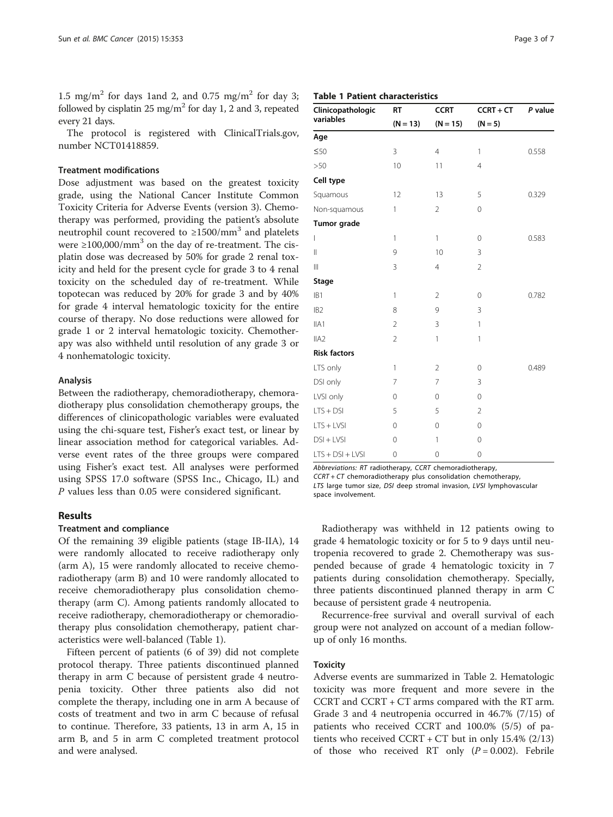1.5 mg/m<sup>2</sup> for days 1and 2, and 0.75 mg/m<sup>2</sup> for day 3; followed by cisplatin 25 mg/m<sup>2</sup> for day 1, 2 and 3, repeated every 21 days.

The protocol is registered with ClinicalTrials.gov, number NCT01418859.

#### Treatment modifications

Dose adjustment was based on the greatest toxicity grade, using the National Cancer Institute Common Toxicity Criteria for Adverse Events (version 3). Chemotherapy was performed, providing the patient's absolute neutrophil count recovered to  $\geq$ 1500/mm<sup>3</sup> and platelets were  $\geq 100,000/\text{mm}^3$  on the day of re-treatment. The cisplatin dose was decreased by 50% for grade 2 renal toxicity and held for the present cycle for grade 3 to 4 renal toxicity on the scheduled day of re-treatment. While topotecan was reduced by 20% for grade 3 and by 40% for grade 4 interval hematologic toxicity for the entire course of therapy. No dose reductions were allowed for grade 1 or 2 interval hematologic toxicity. Chemotherapy was also withheld until resolution of any grade 3 or 4 nonhematologic toxicity.

#### Analysis

Between the radiotherapy, chemoradiotherapy, chemoradiotherapy plus consolidation chemotherapy groups, the differences of clinicopathologic variables were evaluated using the chi-square test, Fisher's exact test, or linear by linear association method for categorical variables. Adverse event rates of the three groups were compared using Fisher's exact test. All analyses were performed using SPSS 17.0 software (SPSS Inc., Chicago, IL) and P values less than 0.05 were considered significant.

## Results

## Treatment and compliance

Of the remaining 39 eligible patients (stage IB-IIA), 14 were randomly allocated to receive radiotherapy only (arm A), 15 were randomly allocated to receive chemoradiotherapy (arm B) and 10 were randomly allocated to receive chemoradiotherapy plus consolidation chemotherapy (arm C). Among patients randomly allocated to receive radiotherapy, chemoradiotherapy or chemoradiotherapy plus consolidation chemotherapy, patient characteristics were well-balanced (Table 1).

Fifteen percent of patients (6 of 39) did not complete protocol therapy. Three patients discontinued planned therapy in arm C because of persistent grade 4 neutropenia toxicity. Other three patients also did not complete the therapy, including one in arm A because of costs of treatment and two in arm C because of refusal to continue. Therefore, 33 patients, 13 in arm A, 15 in arm B, and 5 in arm C completed treatment protocol and were analysed.

| Page 3 of 7 |  |  |
|-------------|--|--|
|             |  |  |

Table 1 Patient characteristics

| Clinicopathologic   | <b>CCRT</b><br><b>RT</b> |                | $CCRT + CT$    | P value |  |
|---------------------|--------------------------|----------------|----------------|---------|--|
| variables           | $(N = 13)$               | $(N = 15)$     | $(N = 5)$      |         |  |
| Age                 |                          |                |                |         |  |
| ≤50                 | 3                        | $\overline{4}$ | 1              | 0.558   |  |
| >50                 | 10                       | 11             | $\overline{4}$ |         |  |
| Cell type           |                          |                |                |         |  |
| Squamous            | 12                       | 13             | 5              | 0.329   |  |
| Non-squamous        | 1                        | $\overline{2}$ | $\mathbf 0$    |         |  |
| Tumor grade         |                          |                |                |         |  |
| L                   | 1                        | 1              | $\mathbf 0$    | 0.583   |  |
| $\mathsf{I}$        | 9                        | 10             | 3              |         |  |
| $\parallel$         | 3                        | $\overline{4}$ | $\overline{2}$ |         |  |
| <b>Stage</b>        |                          |                |                |         |  |
| IB <sub>1</sub>     | 1                        | $\overline{2}$ | $\mathbf 0$    | 0.782   |  |
| IB <sub>2</sub>     | 8                        | 9              | 3              |         |  |
| IIA1                | $\overline{2}$           | 3              | $\mathbf{1}$   |         |  |
| IIA <sub>2</sub>    | $\overline{2}$           | 1              | 1              |         |  |
| <b>Risk factors</b> |                          |                |                |         |  |
| LTS only            | 1                        | $\overline{2}$ | $\mathbf{0}$   | 0.489   |  |
| DSI only            | 7                        | $\overline{7}$ | 3              |         |  |
| LVSI only           | 0                        | $\mathbf 0$    | $\mathbf 0$    |         |  |
| $LTS + DSI$         | 5                        | 5              | $\overline{2}$ |         |  |
| $LTS + LVSI$        | 0                        | $\mathbf 0$    | $\mathbf 0$    |         |  |
| $DSI + LVSI$        | 0                        | 1              | $\mathbf{0}$   |         |  |
| $LTS + DSI + LVSI$  | 0                        | 0              | $\mathbf 0$    |         |  |

Abbreviations: RT radiotherapy, CCRT chemoradiotherapy,

CCRT + CT chemoradiotherapy plus consolidation chemotherapy, LTS large tumor size, DSI deep stromal invasion, LVSI lymphovascular

space involvement.

Radiotherapy was withheld in 12 patients owing to grade 4 hematologic toxicity or for 5 to 9 days until neutropenia recovered to grade 2. Chemotherapy was suspended because of grade 4 hematologic toxicity in 7 patients during consolidation chemotherapy. Specially, three patients discontinued planned therapy in arm C because of persistent grade 4 neutropenia.

Recurrence-free survival and overall survival of each group were not analyzed on account of a median followup of only 16 months.

### **Toxicity**

Adverse events are summarized in Table [2.](#page-3-0) Hematologic toxicity was more frequent and more severe in the CCRT and CCRT + CT arms compared with the RT arm. Grade 3 and 4 neutropenia occurred in 46.7% (7/15) of patients who received CCRT and 100.0% (5/5) of patients who received CCRT + CT but in only  $15.4\%$  (2/13) of those who received RT only  $(P = 0.002)$ . Febrile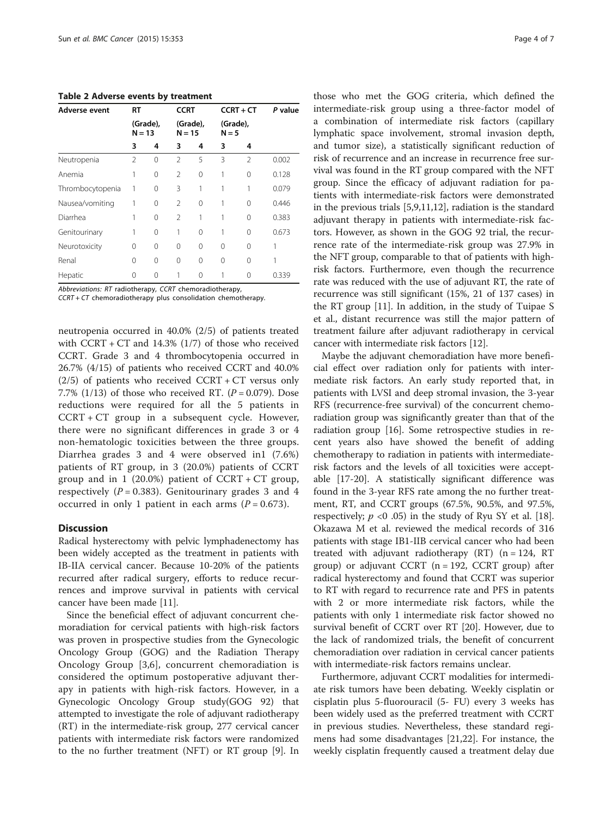<span id="page-3-0"></span>Table 2 Adverse events by treatment

| Adverse event    | <b>RT</b>            |          | <b>CCRT</b>    |                      |          | $CCRT + CT$         | P value |
|------------------|----------------------|----------|----------------|----------------------|----------|---------------------|---------|
|                  | (Grade),<br>$N = 13$ |          |                | (Grade),<br>$N = 15$ |          | (Grade),<br>$N = 5$ |         |
|                  | 3                    | 4        | 3              | 4                    | 3        | 4                   |         |
| Neutropenia      | 2                    | $\Omega$ | $\mathfrak{D}$ | 5                    | 3        | $\mathfrak{D}$      | 0.002   |
| Anemia           | 1                    | 0        | $\mathfrak{D}$ | 0                    | 1        | $\Omega$            | 0.128   |
| Thrombocytopenia | 1                    | 0        | 3              | 1                    | 1        | 1                   | 0.079   |
| Nausea/vomiting  | 1                    | $\Omega$ | $\mathfrak{D}$ | 0                    | 1        | $\Omega$            | 0.446   |
| Diarrhea         | 1                    | $\Omega$ | $\mathfrak{D}$ | 1                    | 1        | $\Omega$            | 0.383   |
| Genitourinary    | 1                    | $\Omega$ | 1              | $\Omega$             |          | $\Omega$            | 0.673   |
| Neurotoxicity    | $\Omega$             | $\Omega$ | 0              | $\Omega$             | $\Omega$ | $\Omega$            | 1       |
| Renal            | 0                    | $\Omega$ | 0              | 0                    | $\Omega$ | $\Omega$            |         |
| Hepatic          | 0                    | $\Omega$ |                | 0                    |          | U                   | 0.339   |

Abbreviations: RT radiotherapy, CCRT chemoradiotherapy,

CCRT + CT chemoradiotherapy plus consolidation chemotherapy.

neutropenia occurred in 40.0% (2/5) of patients treated with  $CCRT + CT$  and 14.3% (1/7) of those who received CCRT. Grade 3 and 4 thrombocytopenia occurred in 26.7% (4/15) of patients who received CCRT and 40.0%  $(2/5)$  of patients who received CCRT + CT versus only 7.7% (1/13) of those who received RT.  $(P = 0.079)$ . Dose reductions were required for all the 5 patients in CCRT + CT group in a subsequent cycle. However, there were no significant differences in grade 3 or 4 non-hematologic toxicities between the three groups. Diarrhea grades 3 and 4 were observed in1 (7.6%) patients of RT group, in 3 (20.0%) patients of CCRT group and in 1 (20.0%) patient of  $CCRT + CT$  group, respectively ( $P = 0.383$ ). Genitourinary grades 3 and 4 occurred in only 1 patient in each arms  $(P = 0.673)$ .

## **Discussion**

Radical hysterectomy with pelvic lymphadenectomy has been widely accepted as the treatment in patients with IB-IIA cervical cancer. Because 10-20% of the patients recurred after radical surgery, efforts to reduce recurrences and improve survival in patients with cervical cancer have been made [\[11](#page-5-0)].

Since the beneficial effect of adjuvant concurrent chemoradiation for cervical patients with high-risk factors was proven in prospective studies from the Gynecologic Oncology Group (GOG) and the Radiation Therapy Oncology Group [[3](#page-5-0),[6\]](#page-5-0), concurrent chemoradiation is considered the optimum postoperative adjuvant therapy in patients with high-risk factors. However, in a Gynecologic Oncology Group study(GOG 92) that attempted to investigate the role of adjuvant radiotherapy (RT) in the intermediate-risk group, 277 cervical cancer patients with intermediate risk factors were randomized to the no further treatment (NFT) or RT group [\[9](#page-5-0)]. In

those who met the GOG criteria, which defined the intermediate-risk group using a three-factor model of a combination of intermediate risk factors (capillary lymphatic space involvement, stromal invasion depth, and tumor size), a statistically significant reduction of risk of recurrence and an increase in recurrence free survival was found in the RT group compared with the NFT group. Since the efficacy of adjuvant radiation for patients with intermediate-risk factors were demonstrated in the previous trials [\[5,9,11,12\]](#page-5-0), radiation is the standard adjuvant therapy in patients with intermediate-risk factors. However, as shown in the GOG 92 trial, the recurrence rate of the intermediate-risk group was 27.9% in the NFT group, comparable to that of patients with highrisk factors. Furthermore, even though the recurrence rate was reduced with the use of adjuvant RT, the rate of recurrence was still significant (15%, 21 of 137 cases) in the RT group [[11\]](#page-5-0). In addition, in the study of Tuipae S et al., distant recurrence was still the major pattern of treatment failure after adjuvant radiotherapy in cervical cancer with intermediate risk factors [\[12](#page-5-0)].

Maybe the adjuvant chemoradiation have more beneficial effect over radiation only for patients with intermediate risk factors. An early study reported that, in patients with LVSI and deep stromal invasion, the 3-year RFS (recurrence-free survival) of the concurrent chemoradiation group was significantly greater than that of the radiation group [[16](#page-5-0)]. Some retrospective studies in recent years also have showed the benefit of adding chemotherapy to radiation in patients with intermediaterisk factors and the levels of all toxicities were acceptable [\[17](#page-5-0)-[20\]](#page-5-0). A statistically significant difference was found in the 3-year RFS rate among the no further treatment, RT, and CCRT groups (67.5%, 90.5%, and 97.5%, respectively;  $p \le 0.05$ ) in the study of Ryu SY et al. [\[18](#page-5-0)]. Okazawa M et al. reviewed the medical records of 316 patients with stage IB1-IIB cervical cancer who had been treated with adjuvant radiotherapy  $(RT)$  (n = 124, RT group) or adjuvant CCRT  $(n = 192, CCRT$  group) after radical hysterectomy and found that CCRT was superior to RT with regard to recurrence rate and PFS in patents with 2 or more intermediate risk factors, while the patients with only 1 intermediate risk factor showed no survival benefit of CCRT over RT [[20\]](#page-5-0). However, due to the lack of randomized trials, the benefit of concurrent chemoradiation over radiation in cervical cancer patients with intermediate-risk factors remains unclear.

Furthermore, adjuvant CCRT modalities for intermediate risk tumors have been debating. Weekly cisplatin or cisplatin plus 5-fluorouracil (5- FU) every 3 weeks has been widely used as the preferred treatment with CCRT in previous studies. Nevertheless, these standard regimens had some disadvantages [\[21,22](#page-5-0)]. For instance, the weekly cisplatin frequently caused a treatment delay due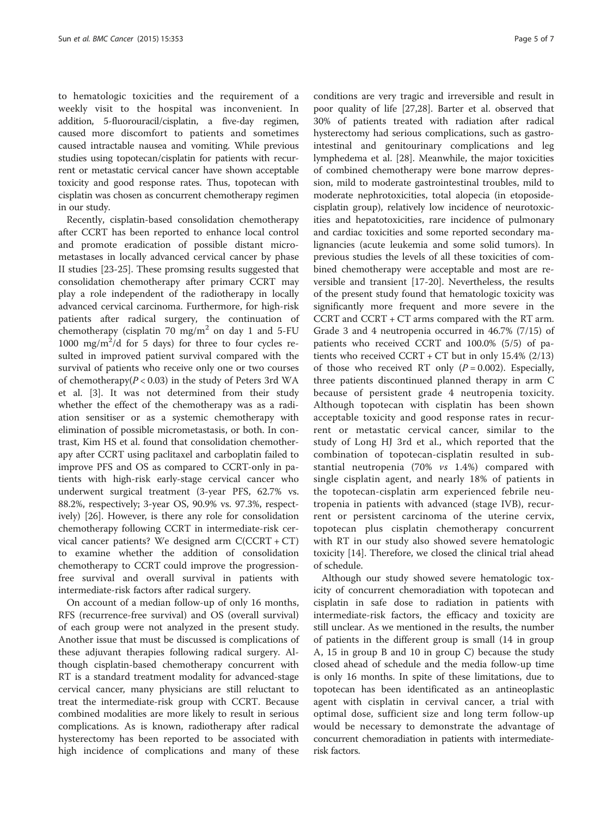to hematologic toxicities and the requirement of a weekly visit to the hospital was inconvenient. In addition, 5-fluorouracil/cisplatin, a five-day regimen, caused more discomfort to patients and sometimes caused intractable nausea and vomiting. While previous studies using topotecan/cisplatin for patients with recurrent or metastatic cervical cancer have shown acceptable toxicity and good response rates. Thus, topotecan with cisplatin was chosen as concurrent chemotherapy regimen in our study.

Recently, cisplatin-based consolidation chemotherapy after CCRT has been reported to enhance local control and promote eradication of possible distant micrometastases in locally advanced cervical cancer by phase II studies [[23-25](#page-5-0)]. These promsing results suggested that consolidation chemotherapy after primary CCRT may play a role independent of the radiotherapy in locally advanced cervical carcinoma. Furthermore, for high-risk patients after radical surgery, the continuation of chemotherapy (cisplatin 70 mg/m<sup>2</sup> on day 1 and 5-FU 1000 mg/ $m^2$ /d for 5 days) for three to four cycles resulted in improved patient survival compared with the survival of patients who receive only one or two courses of chemotherapy( $P < 0.03$ ) in the study of Peters 3rd WA et al. [\[3\]](#page-5-0). It was not determined from their study whether the effect of the chemotherapy was as a radiation sensitiser or as a systemic chemotherapy with elimination of possible micrometastasis, or both. In contrast, Kim HS et al. found that consolidation chemotherapy after CCRT using paclitaxel and carboplatin failed to improve PFS and OS as compared to CCRT-only in patients with high-risk early-stage cervical cancer who underwent surgical treatment (3-year PFS, 62.7% vs. 88.2%, respectively; 3-year OS, 90.9% vs. 97.3%, respectively) [\[26](#page-6-0)]. However, is there any role for consolidation chemotherapy following CCRT in intermediate-risk cervical cancer patients? We designed arm  $C(CCRT + CT)$ to examine whether the addition of consolidation chemotherapy to CCRT could improve the progressionfree survival and overall survival in patients with intermediate-risk factors after radical surgery.

On account of a median follow-up of only 16 months, RFS (recurrence-free survival) and OS (overall survival) of each group were not analyzed in the present study. Another issue that must be discussed is complications of these adjuvant therapies following radical surgery. Although cisplatin-based chemotherapy concurrent with RT is a standard treatment modality for advanced-stage cervical cancer, many physicians are still reluctant to treat the intermediate-risk group with CCRT. Because combined modalities are more likely to result in serious complications. As is known, radiotherapy after radical hysterectomy has been reported to be associated with high incidence of complications and many of these

conditions are very tragic and irreversible and result in poor quality of life [[27](#page-6-0),[28](#page-6-0)]. Barter et al. observed that 30% of patients treated with radiation after radical hysterectomy had serious complications, such as gastrointestinal and genitourinary complications and leg lymphedema et al. [\[28\]](#page-6-0). Meanwhile, the major toxicities of combined chemotherapy were bone marrow depression, mild to moderate gastrointestinal troubles, mild to moderate nephrotoxicities, total alopecia (in etoposidecisplatin group), relatively low incidence of neurotoxicities and hepatotoxicities, rare incidence of pulmonary and cardiac toxicities and some reported secondary malignancies (acute leukemia and some solid tumors). In previous studies the levels of all these toxicities of combined chemotherapy were acceptable and most are reversible and transient [[17-20](#page-5-0)]. Nevertheless, the results of the present study found that hematologic toxicity was significantly more frequent and more severe in the CCRT and CCRT + CT arms compared with the RT arm. Grade 3 and 4 neutropenia occurred in 46.7% (7/15) of patients who received CCRT and 100.0% (5/5) of patients who received  $CCRT + CT$  but in only 15.4% (2/13) of those who received RT only  $(P = 0.002)$ . Especially, three patients discontinued planned therapy in arm C because of persistent grade 4 neutropenia toxicity. Although topotecan with cisplatin has been shown acceptable toxicity and good response rates in recurrent or metastatic cervical cancer, similar to the study of Long HJ 3rd et al., which reported that the combination of topotecan-cisplatin resulted in substantial neutropenia (70% vs 1.4%) compared with single cisplatin agent, and nearly 18% of patients in the topotecan-cisplatin arm experienced febrile neutropenia in patients with advanced (stage IVB), recurrent or persistent carcinoma of the uterine cervix, topotecan plus cisplatin chemotherapy concurrent with RT in our study also showed severe hematologic toxicity [\[14\]](#page-5-0). Therefore, we closed the clinical trial ahead of schedule.

Although our study showed severe hematologic toxicity of concurrent chemoradiation with topotecan and cisplatin in safe dose to radiation in patients with intermediate-risk factors, the efficacy and toxicity are still unclear. As we mentioned in the results, the number of patients in the different group is small (14 in group A, 15 in group B and 10 in group C) because the study closed ahead of schedule and the media follow-up time is only 16 months. In spite of these limitations, due to topotecan has been identificated as an antineoplastic agent with cisplatin in cervival cancer, a trial with optimal dose, sufficient size and long term follow-up would be necessary to demonstrate the advantage of concurrent chemoradiation in patients with intermediaterisk factors.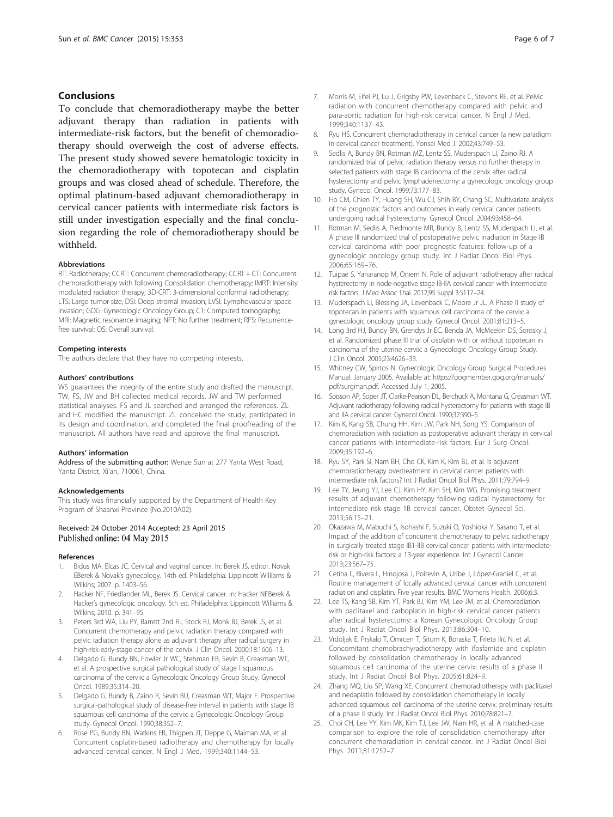## <span id="page-5-0"></span>Conclusions

To conclude that chemoradiotherapy maybe the better adjuvant therapy than radiation in patients with intermediate-risk factors, but the benefit of chemoradiotherapy should overweigh the cost of adverse effects. The present study showed severe hematologic toxicity in the chemoradiotherapy with topotecan and cisplatin groups and was closed ahead of schedule. Therefore, the optimal platinum-based adjuvant chemoradiotherapy in cervical cancer patients with intermediate risk factors is still under investigation especially and the final conclusion regarding the role of chemoradiotherapy should be withheld.

#### Abbreviations

RT: Radiotherapy; CCRT: Concurrent chemoradiotherapy; CCRT + CT: Concurrent chemoradiotherapy with following Consolidation chemotherapy; IMRT: Intensity modulated radiation therapy; 3D-CRT: 3-dimensional conformal radiotherapy; LTS: Large tumor size; DSI: Deep stromal invasion; LVSI: Lymphovascular space invasion; GOG: Gynecologic Oncology Group; CT: Computed tomography; MRI: Magnetic resonance imaging; NFT: No further treatment; RFS: Recurrencefree survival; OS: Overall survival.

#### Competing interests

The authors declare that they have no competing interests.

#### Authors' contributions

WS quarantees the integrity of the entire study and drafted the manuscript. TW, FS, JW and BH collected medical records. JW and TW performed statistical analyses. FS and JL searched and arranged the references. ZL and HC modified the manuscript. ZL conceived the study, participated in its design and coordination, and completed the final proofreading of the manuscript. All authors have read and approve the final manuscript.

#### Authors' information

Address of the submitting author: Wenze Sun at 277 Yanta West Road, Yanta District, Xi'an, 710061, China.

#### Acknowledgements

This study was financially supported by the Department of Health Key Program of Shaanxi Province (No.2010A02).

## Received: 24 October 2014 Accepted: 23 April 2015 Published online: 04 May 2015

#### References

- 1. Bidus MA, Elcas JC. Cervical and vaginal cancer. In: Berek JS, editor. Novak EBerek & Novak's gynecology. 14th ed. Philadelphia: Lippincott Williams & Wilkins; 2007. p. 1403–56.
- 2. Hacker NF, Friedlander ML, Berek JS. Cervical cancer. In: Hacker NFBerek & Hacker's gynecologic oncology. 5th ed. Philadelphia: Lippincott Williams & Wilkins; 2010. p. 341–95.
- 3. Peters 3rd WA, Liu PY, Barrett 2nd RJ, Stock RJ, Monk BJ, Berek JS, et al. Concurrent chemotherapy and pelvic radiation therapy compared with pelvic radiation therapy alone as adjuvant therapy after radical surgery in high-risk early-stage cancer of the cervix. J Clin Oncol. 2000;18:1606–13.
- 4. Delgado G, Bundy BN, Fowler Jr WC, Stehman FB, Sevin B, Creasman WT, et al. A prospective surgical pathological study of stage I squamous carcinoma of the cervix: a Gynecologic Oncology Group Study. Gynecol Oncol. 1989;35:314–20.
- 5. Delgado G, Bundy B, Zaino R, Sevin BU, Creasman WT, Major F. Prospective surgical-pathological study of disease-free interval in patients with stage IB squamous cell carcinoma of the cervix: a Gynecologic Oncology Group study. Gynecol Oncol. 1990;38:352–7.
- 6. Rose PG, Bundy BN, Watkins EB, Thigpen JT, Deppe G, Maiman MA, et al. Concurrent cisplatin-based radiotherapy and chemotherapy for locally advanced cervical cancer. N Engl J Med. 1999;340:1144–53.
- Ryu HS. Concurrent chemoradiotherapy in cervical cancer (a new paradigm in cervical cancer treatment). Yonsei Med J. 2002;43:749–53.
- 9. Sedlis A, Bundy BN, Rotman MZ, Lentz SS, Muderspach LI, Zaino RJ. A randomized trial of pelvic radiation therapy versus no further therapy in selected patients with stage IB carcinoma of the cervix after radical hysterectomy and pelvic lymphadenectomy: a gynecologic oncology group study. Gynecol Oncol. 1999;73:177–83.
- 10. Ho CM, Chien TY, Huang SH, Wu CJ, Shih BY, Chang SC. Multivariate analysis of the prognostic factors and outcomes in early cervical cancer patients undergoing radical hysterectomy. Gynecol Oncol. 2004;93:458–64.
- 11. Rotman M, Sedlis A, Piedmonte MR, Bundy B, Lentz SS, Muderspach LI, et al. A phase III randomized trial of postoperative pelvic irradiation in Stage IB cervical carcinoma with poor prognostic features: follow-up of a gynecologic oncology group study. Int J Radiat Oncol Biol Phys. 2006;65:169–76.
- 12. Tuipae S, Yanaranop M, Oniem N. Role of adjuvant radiotherapy after radical hysterectomy in node-negative stage IB-IIA cervical cancer with intermediate risk factors. J Med Assoc Thai. 2012;95 Suppl 3:S117–24.
- 13. Muderspach LI, Blessing JA, Levenback C, Moore Jr JL. A Phase II study of topotecan in patients with squamous cell carcinoma of the cervix: a gynecologic oncology group study. Gynecol Oncol. 2001;81:213–5.
- 14. Long 3rd HJ, Bundy BN, Grendys Jr EC, Benda JA, McMeekin DS, Sorosky J, et al. Randomized phase III trial of cisplatin with or without topotecan in carcinoma of the uterine cervix: a Gynecologic Oncology Group Study. J Clin Oncol. 2005;23:4626–33.
- 15. Whitney CW, Spirtos N. Gynecologic Oncology Group Surgical Procedures Manual. January 2005. Available at: [https://gogmember.gog.org/manuals/](https://gogmember.gog.org/manuals/pdf/surgman.pdf) [pdf/surgman.pdf](https://gogmember.gog.org/manuals/pdf/surgman.pdf). Accessed July 1, 2005.
- 16. Soisson AP, Soper JT, Clarke-Pearson DL, Berchuck A, Montana G, Creasman WT. Adjuvant radiotherapy following radical hysterectomy for patients with stage IB and IIA cervical cancer. Gynecol Oncol. 1990;37:390–5.
- 17. Kim K, Kang SB, Chung HH, Kim JW, Park NH, Song YS. Comparison of chemoradiation with radiation as postoperative adjuvant therapy in cervical cancer patients with intermediate-risk factors. Eur J Surg Oncol. 2009;35:192–6.
- 18. Ryu SY, Park SI, Nam BH, Cho CK, Kim K, Kim BJ, et al. Is adjuvant chemoradiotherapy overtreatment in cervical cancer patients with intermediate risk factors? Int J Radiat Oncol Biol Phys. 2011;79:794–9.
- 19. Lee TY, Jeung YJ, Lee CJ, Kim HY, Kim SH, Kim WG. Promising treatment results of adjuvant chemotherapy following radical hysterectomy for intermediate risk stage 1B cervical cancer. Obstet Gynecol Sci. 2013;56:15–21.
- 20. Okazawa M, Mabuchi S, Isohashi F, Suzuki O, Yoshioka Y, Sasano T, et al. Impact of the addition of concurrent chemotherapy to pelvic radiotherapy in surgically treated stage IB1-IIB cervical cancer patients with intermediaterisk or high-risk factors: a 13-year experience. Int J Gynecol Cancer. 2013;23:567–75.
- 21. Cetina L, Rivera L, Hinojosa J, Poitevin A, Uribe J, López-Graniel C, et al. Routine management of locally advanced cervical cancer with concurrent radiation and cisplatin. Five year results. BMC Womens Health. 2006;6:3.
- 22. Lee TS, Kang SB, Kim YT, Park BJ, Kim YM, Lee JM, et al. Chemoradiation with paclitaxel and carboplatin in high-risk cervical cancer patients after radical hysterectomy: a Korean Gynecologic Oncology Group study. Int J Radiat Oncol Biol Phys. 2013;86:304–10.
- 23. Vrdoljak E, Prskalo T, Omrcen T, Situm K, Boraska T, Frleta Ilić N, et al. Concomitant chemobrachyradiotherapy with ifosfamide and cisplatin followed by consolidation chemotherapy in locally advanced squamous cell carcinoma of the uterine cervix: results of a phase II study. Int J Radiat Oncol Biol Phys. 2005;61:824–9.
- 24. Zhang MQ, Liu SP, Wang XE. Concurrent chemoradiotherapy with paclitaxel and nedaplatin followed by consolidation chemotherapy in locally advanced squamous cell carcinoma of the uterine cervix: preliminary results of a phase II study. Int J Radiat Oncol Biol Phys. 2010;78:821–7.
- 25. Choi CH, Lee YY, Kim MK, Kim TJ, Lee JW, Nam HR, et al. A matched-case comparison to explore the role of consolidation chemotherapy after concurrent chemoradiation in cervical cancer. Int J Radiat Oncol Biol Phys. 2011;81:1252–7.